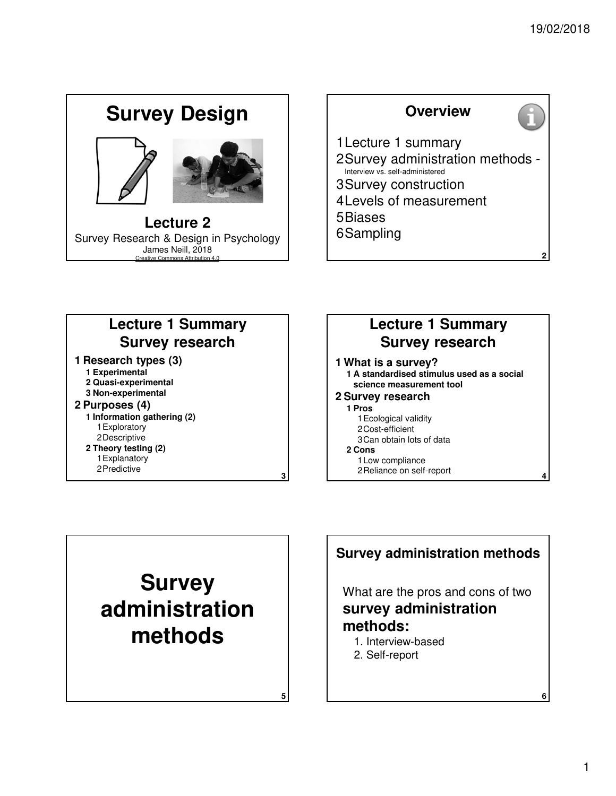# **Lecture 2** Survey Research & Design in Psychology James Neill, 2018 Creative Commons Attribution 4.0 **Survey Design**



#### **1 Research types (3) 1 Experimental 2 Quasi-experimental 3 Non-experimental 2 Purposes (4) 1 Information gathering (2)** 1Exploratory 2Descriptive **2 Theory testing (2)** 1Explanatory 2Predictive **Lecture 1 Summary Survey research**

#### **1 What is a survey? 1 A standardised stimulus used as a social science measurement tool 2 Survey research Lecture 1 Summary Survey research**

- **1 Pros** 1Ecological validity
	- 2Cost-efficient 3Can obtain lots of data
- **2 Cons**
	- 1Low compliance

**3**

**5**

2Reliance on self-report



## What are the pros and cons of two **survey administration methods: Survey administration methods**

- 1. Interview-based
- 2. Self-report

**4**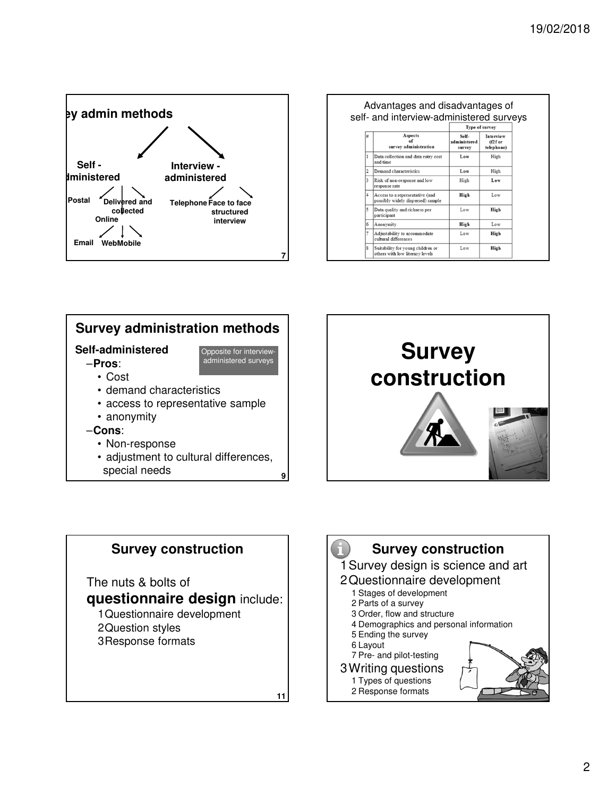

| Advantages and disadvantages of<br>self- and interview-administered surveys |                                                                      |                                 |                                      |  |  |  |  |
|-----------------------------------------------------------------------------|----------------------------------------------------------------------|---------------------------------|--------------------------------------|--|--|--|--|
|                                                                             |                                                                      | Type of survey                  |                                      |  |  |  |  |
| #                                                                           | Aspects<br><b>of</b><br>survey administration                        | Self-<br>administered<br>survey | Interview<br>$(f2f$ or<br>telephone) |  |  |  |  |
| 1                                                                           | Data collection and data entry cost<br>and time                      | Low                             | High                                 |  |  |  |  |
| $\overline{2}$                                                              | Demand characteristics                                               | Low                             | High                                 |  |  |  |  |
| 3                                                                           | Risk of non-response and low<br>response rate                        | High                            | Low                                  |  |  |  |  |
| $\overline{4}$                                                              | Access to a representative (and<br>possibly widely dispersed) sample | High                            | Low                                  |  |  |  |  |
| 5                                                                           | Data quality and richness per<br>participant                         | Low                             | High                                 |  |  |  |  |
| 6                                                                           | Anonymity                                                            | High                            | Low                                  |  |  |  |  |
| 7                                                                           | Adjustability to accommodate<br>cultural differences                 | Low                             | High                                 |  |  |  |  |
| $\boldsymbol{\hat{x}}$                                                      | Suitability for young children or<br>others with low literacy levels | Low                             | High                                 |  |  |  |  |







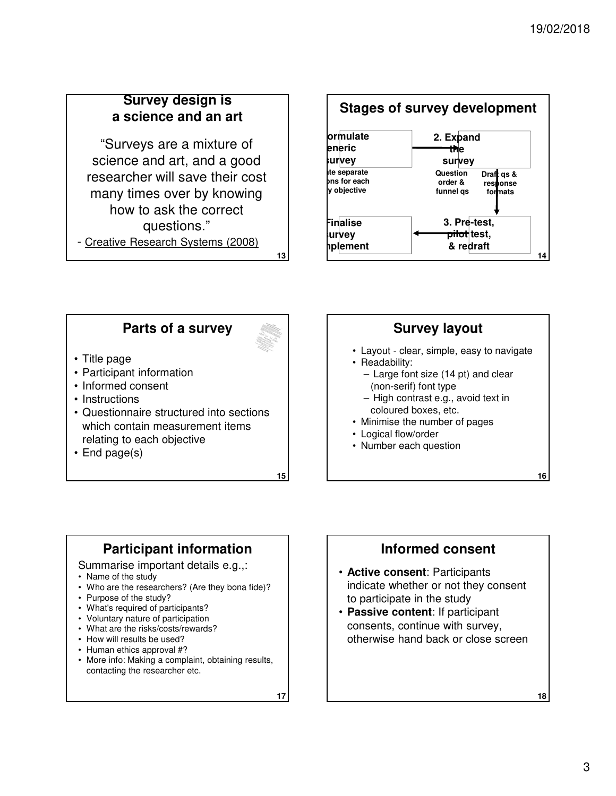## **Survey design is a science and an art**

"Surveys are a mixture of science and art, and a good researcher will save their cost many times over by knowing how to ask the correct questions." - Creative Research Systems (2008)



## **Parts of a survey**



**13**

- Title page
- Participant information
- Informed consent
- Instructions
- Questionnaire structured into sections which contain measurement items relating to each objective
- End page(s)

**15**

## **Survey layout**

- Layout clear, simple, easy to navigate
- Readability:
	- Large font size (14 pt) and clear (non-serif) font type
	- High contrast e.g., avoid text in coloured boxes, etc.
- Minimise the number of pages
- Logical flow/order
- Number each question

## **Participant information**

- Summarise important details e.g.,:
- Name of the study
- Who are the researchers? (Are they bona fide)?
- Purpose of the study?
- What's required of participants?
- Voluntary nature of participation
- What are the risks/costs/rewards?
- How will results be used?
- Human ethics approval #?
- More info: Making a complaint, obtaining results, contacting the researcher etc.

**17**

## **Informed consent**

- **Active consent**: Participants indicate whether or not they consent to participate in the study
- **Passive content**: If participant consents, continue with survey, otherwise hand back or close screen

**18**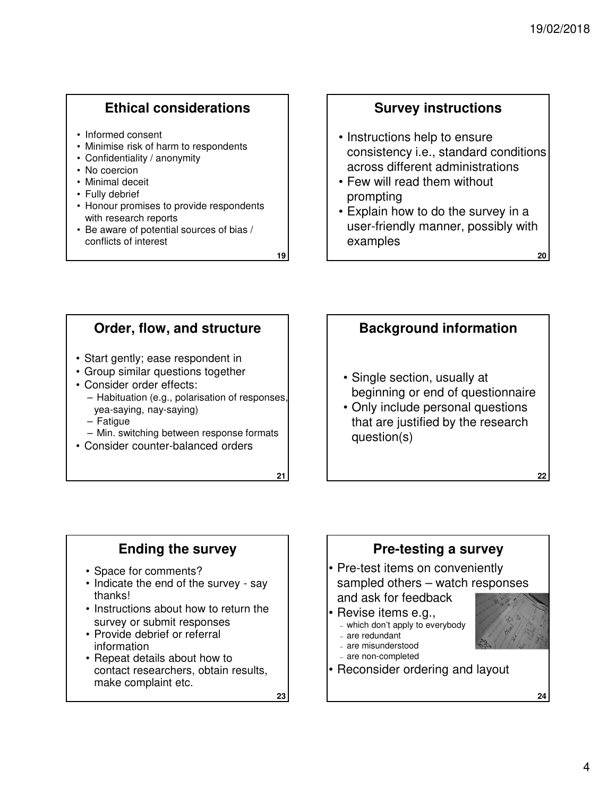**22**

## **Ethical considerations**

- Informed consent
- Minimise risk of harm to respondents
- Confidentiality / anonymity
- No coercion
- Minimal deceit
- Fully debrief
- Honour promises to provide respondents with research reports
- Be aware of potential sources of bias / conflicts of interest

**19**

#### **Survey instructions**

- Instructions help to ensure consistency i.e., standard conditions across different administrations
- Few will read them without prompting
- Explain how to do the survey in a user-friendly manner, possibly with examples

## **Order, flow, and structure**

- Start gently; ease respondent in
- Group similar questions together
- Consider order effects:
	- Habituation (e.g., polarisation of responses, yea-saying, nay-saying)
	- Fatigue
	- Min. switching between response formats
- Consider counter-balanced orders

**21**

### **Background information**

- Single section, usually at beginning or end of questionnaire
- Only include personal questions that are justified by the research question(s)

### **Ending the survey**

- Space for comments?
- Indicate the end of the survey say thanks!
- Instructions about how to return the survey or submit responses
- Provide debrief or referral information
- Repeat details about how to contact researchers, obtain results, make complaint etc.

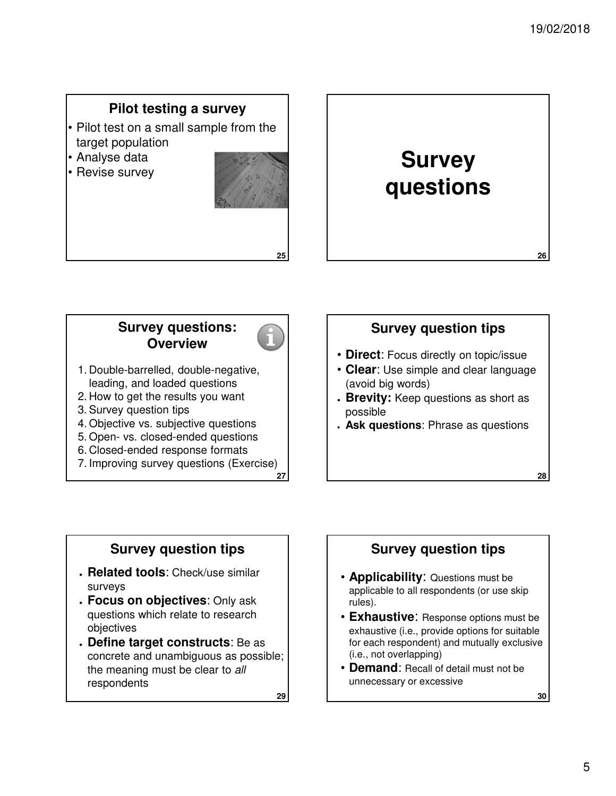### **Pilot testing a survey**

- Pilot test on a small sample from the target population
- Analyse data
- Revise survey





#### **Survey questions: Overview**



**25**

- 1. Double-barrelled, double-negative, leading, and loaded questions
- 2. How to get the results you want
- 3. Survey question tips
- 4. Objective vs. subjective questions
- 5. Open- vs. closed-ended questions
- 6. Closed-ended response formats
- **27** 7. Improving survey questions (Exercise)

## **Survey question tips**

- **Direct**: Focus directly on topic/issue
- **Clear**: Use simple and clear language (avoid big words)
- **Brevity:** Keep questions as short as possible
- **Ask questions**: Phrase as questions

### **Survey question tips**

- **Related tools**: Check/use similar surveys
- **Focus on objectives**: Only ask questions which relate to research objectives
- **. Define target constructs:** Be as concrete and unambiguous as possible; the meaning must be clear to all respondents

**29**

### **Survey question tips**

- **Applicability**: Questions must be applicable to all respondents (or use skip rules).
- **Exhaustive**: Response options must be exhaustive (i.e., provide options for suitable for each respondent) and mutually exclusive (i.e., not overlapping)
- **Demand**: Recall of detail must not be unnecessary or excessive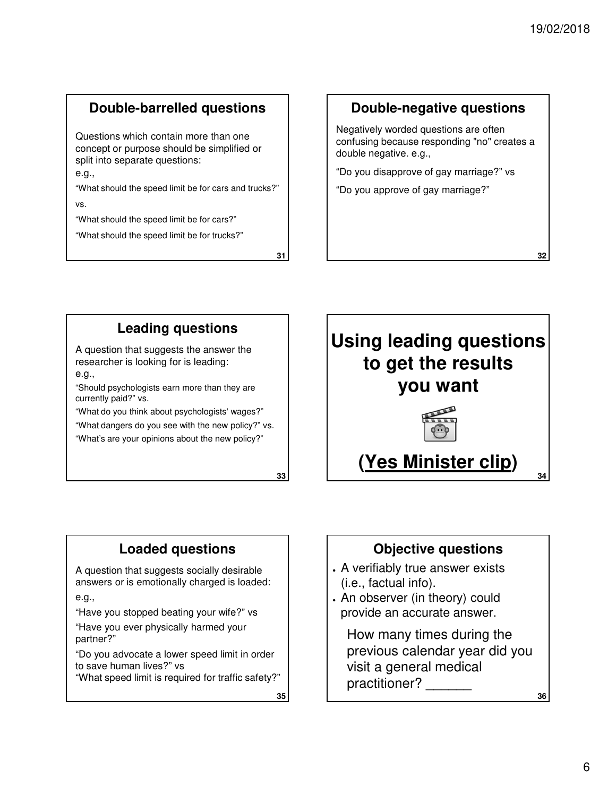## **Double-barrelled questions**

Questions which contain more than one concept or purpose should be simplified or split into separate questions:

e.g.,

"What should the speed limit be for cars and trucks?"

vs.

"What should the speed limit be for cars?"

"What should the speed limit be for trucks?"

**31**

#### **Double-negative questions**

Negatively worded questions are often confusing because responding "no" creates a double negative. e.g.,

"Do you disapprove of gay marriage?" vs

"Do you approve of gay marriage?"

## **Leading questions**

A question that suggests the answer the researcher is looking for is leading: e.g.,

"Should psychologists earn more than they are currently paid?" vs.

"What do you think about psychologists' wages?"

"What dangers do you see with the new policy?" vs.

"What's are your opinions about the new policy?"

**33**



## **Loaded questions**

A question that suggests socially desirable answers or is emotionally charged is loaded:

e.g.,

"Have you stopped beating your wife?" vs

"Have you ever physically harmed your partner?"

"Do you advocate a lower speed limit in order to save human lives?" vs

"What speed limit is required for traffic safety?"

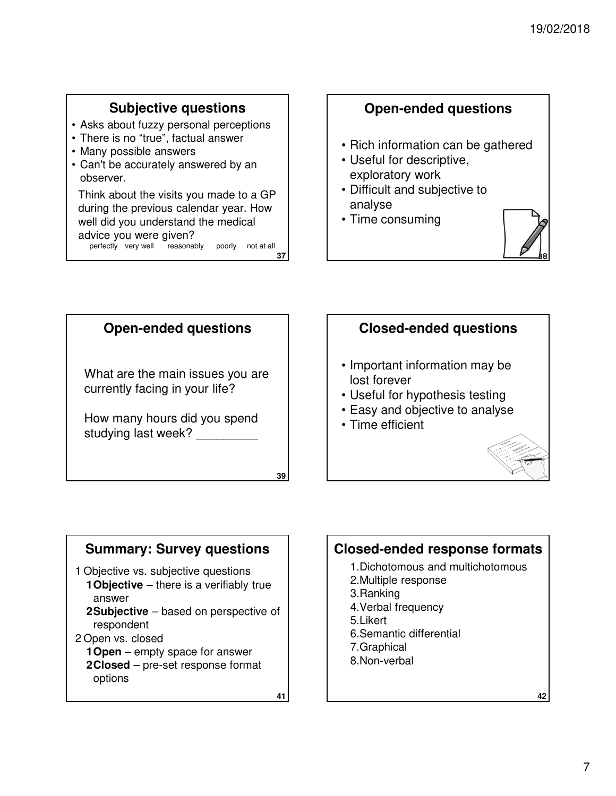## **Subjective questions**

- Asks about fuzzy personal perceptions
- There is no "true", factual answer
- Many possible answers
- Can't be accurately answered by an observer.

Think about the visits you made to a GP during the previous calendar year. How well did you understand the medical advice you were given? perfectly very well reasonably poorly not at all

**37**

## **Open-ended questions**

- Rich information can be gathered
- Useful for descriptive, exploratory work
- Difficult and subjective to analyse
- Time consuming





## **Summary: Survey questions**

- 1 Objective vs. subjective questions
	- **1Objective** there is a verifiably true answer
	- **2Subjective** based on perspective of respondent
- 2 Open vs. closed
	- **1Open** empty space for answer
	- **2Closed** pre-set response format options

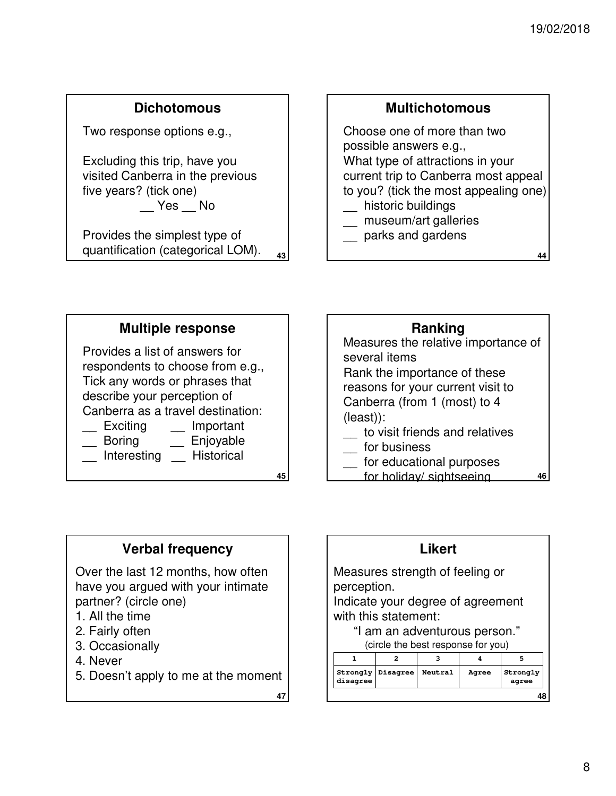### **Dichotomous**

Two response options e.g.,

Excluding this trip, have you visited Canberra in the previous five years? (tick one) \_\_ Yes \_\_ No

**43** Provides the simplest type of quantification (categorical LOM).

## **Multichotomous**

Choose one of more than two possible answers e.g., What type of attractions in your current trip to Canberra most appeal to you? (tick the most appealing one) \_\_ historic buildings museum/art galleries

\_\_ parks and gardens

**44**

**46**

**48**

**agree**

#### **Multiple response**

Provides a list of answers for respondents to choose from e.g., Tick any words or phrases that describe your perception of Canberra as a travel destination:

Exciting Important

- Boring Enjoyable
- \_\_ Interesting \_\_ Historical

**45**

## Measures the relative importance of several items Rank the importance of these reasons for your current visit to Canberra (from 1 (most) to 4 (least)): **Ranking**

- \_\_ to visit friends and relatives
- \_\_ for business
- for educational purposes
- for holiday/ sightseeing

### **Verbal frequency**

Over the last 12 months, how often have you argued with your intimate partner? (circle one)

- 1. All the time
- 2. Fairly often
- 3. Occasionally
- 4. Never
- 5. Doesn't apply to me at the moment

**47**

**disagree**

Measures strength of feeling or perception. Indicate your degree of agreement with this statement: "I am an adventurous person." (circle the best response for you) **1 2 3 4 5 Strongly Disagree Neutral Agree Strongly Likert**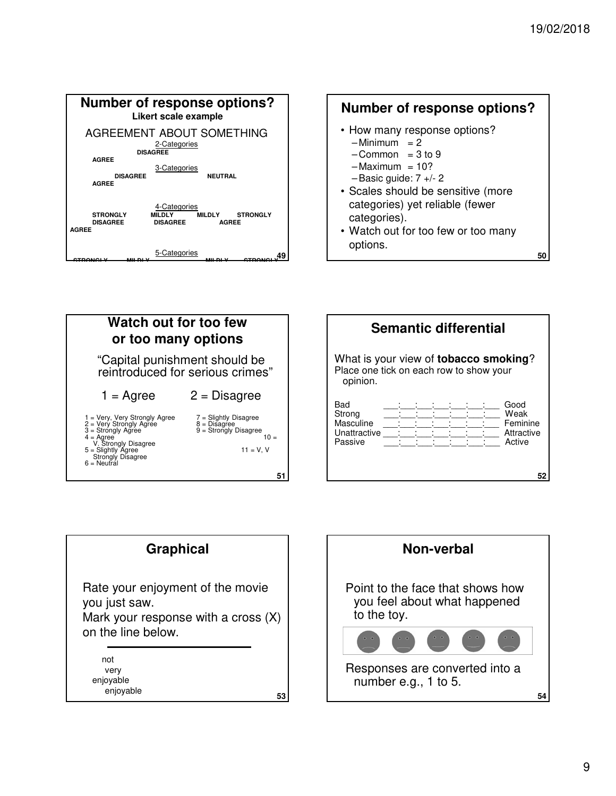





| <b>Semantic differential</b>                                                                         |  |  |  |  |  |  |            |
|------------------------------------------------------------------------------------------------------|--|--|--|--|--|--|------------|
| What is your view of <b>tobacco smoking</b> ?<br>Place one tick on each row to show your<br>opinion. |  |  |  |  |  |  |            |
| Bad                                                                                                  |  |  |  |  |  |  | Good       |
| Strong                                                                                               |  |  |  |  |  |  | Weak       |
| Masculine                                                                                            |  |  |  |  |  |  | Feminine   |
| Unattractive                                                                                         |  |  |  |  |  |  | Attractive |
| Passive                                                                                              |  |  |  |  |  |  | Active     |
|                                                                                                      |  |  |  |  |  |  |            |
|                                                                                                      |  |  |  |  |  |  |            |
|                                                                                                      |  |  |  |  |  |  |            |

| <b>Graphical</b>                                                                                                 |
|------------------------------------------------------------------------------------------------------------------|
| Rate your enjoyment of the movie<br>you just saw.<br>Mark your response with a cross $(X)$<br>on the line below. |
| not<br>very<br>enjoyable<br>enjovable<br>53                                                                      |

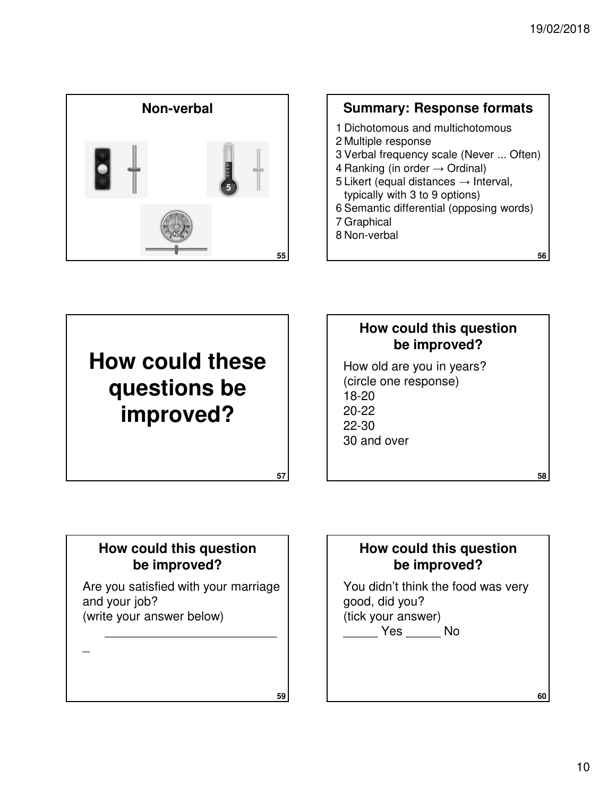

## **Summary: Response formats**

- 1 Dichotomous and multichotomous
- 2 Multiple response
- 3 Verbal frequency scale (Never ... Often)
- 4 Ranking (in order  $\rightarrow$  Ordinal)
- 5 Likert (equal distances  $\rightarrow$  Interval, typically with 3 to 9 options)
- 6 Semantic differential (opposing words)
- 7 Graphical
- 8 Non-verbal

**56**

**58**

**60**

**How could these questions be improved?**

## **How could this question be improved?**

How old are you in years? (circle one response) 18-20 20-22 22-30 30 and over

## **How could this question be improved?**

Are you satisfied with your marriage and your job? (write your answer below)

 $\overline{\phantom{a}}$ 

\_\_\_\_\_\_\_\_\_\_\_\_\_\_\_\_\_\_\_\_\_\_\_\_\_



You didn't think the food was very good, did you? (tick your answer) \_\_\_\_\_ Yes \_\_\_\_\_ No

**59**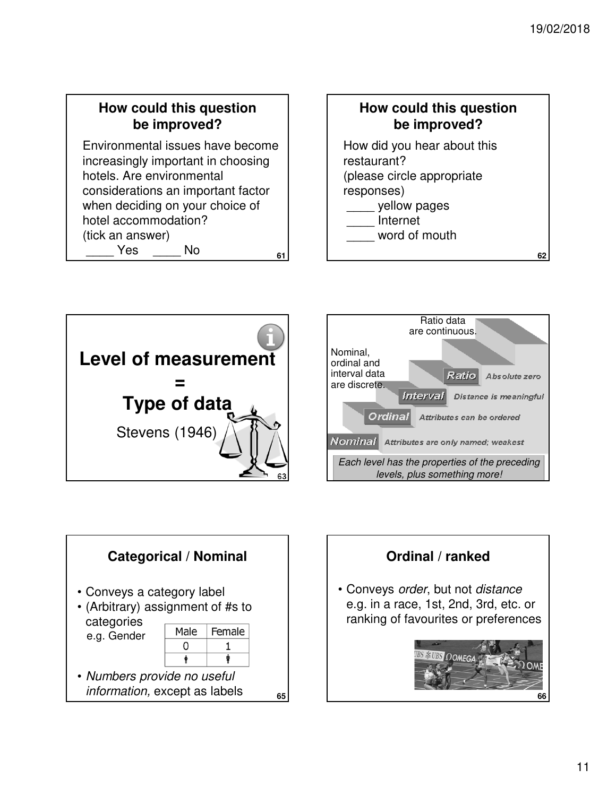## **How could this question be improved?**

**61** Environmental issues have become increasingly important in choosing hotels. Are environmental considerations an important factor when deciding on your choice of hotel accommodation? (tick an answer) Yes No

## **How could this question be improved?**

How did you hear about this restaurant? (please circle appropriate responses) yellow pages \_\_\_\_ Internet

word of mouth







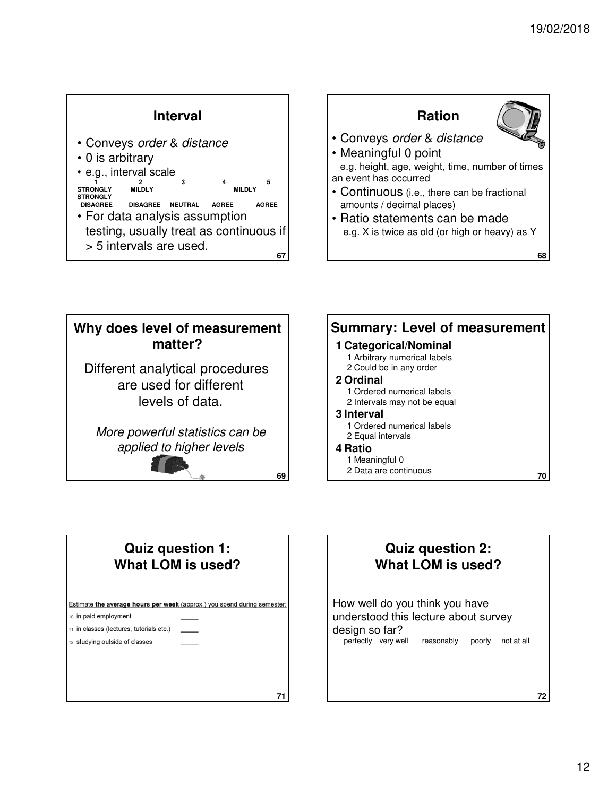



## **Quiz question 1: What LOM is used?**

are used for different levels of data.

**matter?**

applied to higher levels

Estimate the average hours per week (approx.) you spend during semester: 10. in paid employment 11. in classes (lectures, tutorials etc.)

**71**

12. studying outside of classes

**Quiz question 2: What LOM is used?**

How well do you think you have understood this lecture about survey design so far?<br>
perfectly very well reasonably poorly not at all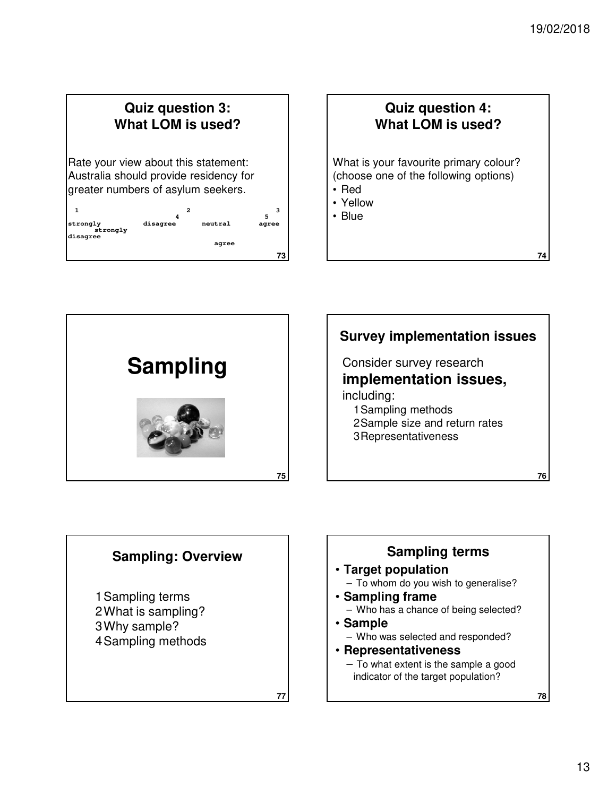## **Quiz question 3: What LOM is used?**

Rate your view about this statement: Australia should provide residency for greater numbers of asylum seekers.

| 1                                | 2        |         | 5     |
|----------------------------------|----------|---------|-------|
| strongly<br>strongly<br>disagree | disagree | neutral | agree |
|                                  |          | agree   |       |
|                                  |          |         | 73    |

## **Quiz question 4: What LOM is used?**

What is your favourite primary colour? (choose one of the following options)

- Red
- Yellow
- Blue





## **Sampling: Overview**

**77**

1Sampling terms 2What is sampling? 3Why sample? 4Sampling methods

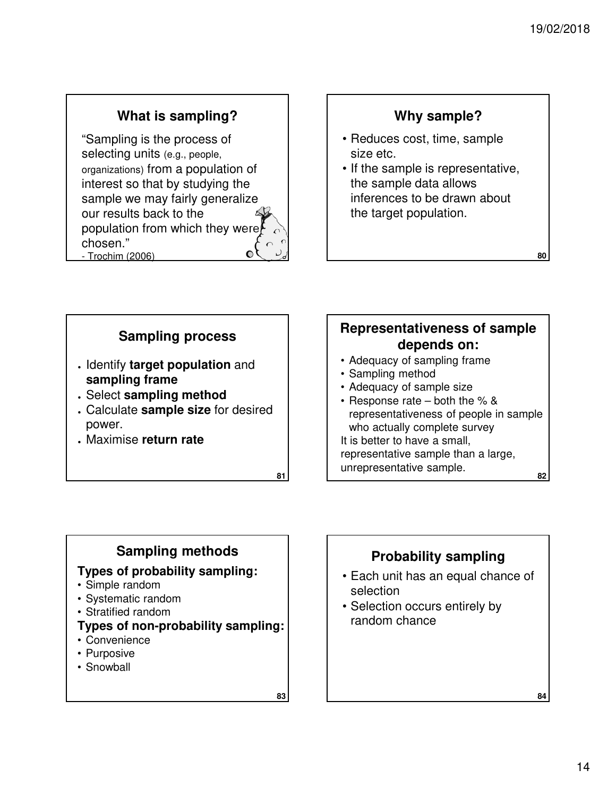## **What is sampling?**

"Sampling is the process of selecting units (e.g., people, organizations) from a population of interest so that by studying the sample we may fairly generalize our results back to the population from which they were chosen."  $\overline{O}$ - Trochim (2006) **79**

## **Why sample?**

- Reduces cost, time, sample size etc.
- If the sample is representative, the sample data allows inferences to be drawn about the target population.



## **Sampling methods**

#### **Types of probability sampling:**

- Simple random
- Systematic random
- Stratified random
- **Types of non-probability sampling:**
- Convenience
- Purposive
- Snowball

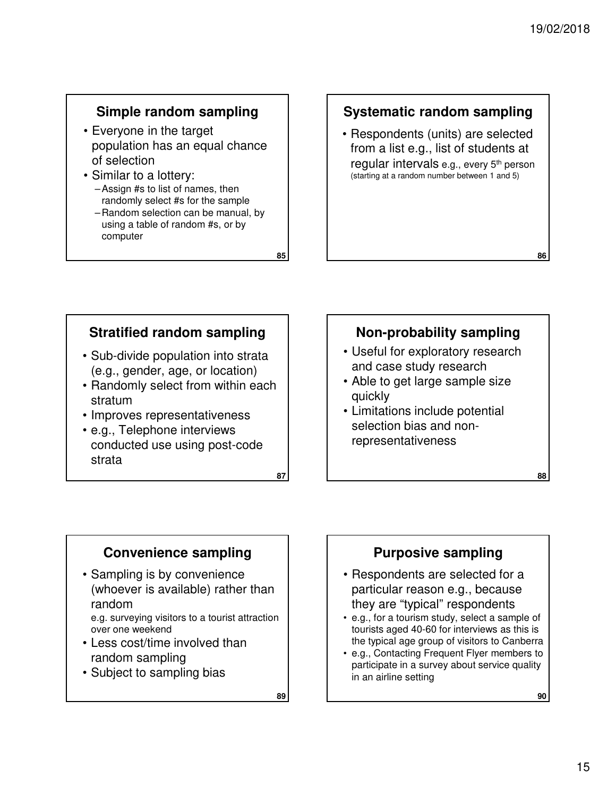**88**

## **Simple random sampling**

- Everyone in the target population has an equal chance of selection
- Similar to a lottery: – Assign #s to list of names, then randomly select #s for the sample
	- Random selection can be manual, by using a table of random #s, or by computer

## **Systematic random sampling**

• Respondents (units) are selected from a list e.g., list of students at regular intervals e.g., every 5<sup>th</sup> person (starting at a random number between 1 and 5)

## **Stratified random sampling**

- Sub-divide population into strata (e.g., gender, age, or location)
- Randomly select from within each stratum
- Improves representativeness
- e.g., Telephone interviews conducted use using post-code strata

**87**

**85**

#### **Non-probability sampling**

- Useful for exploratory research and case study research
- Able to get large sample size quickly
- Limitations include potential selection bias and nonrepresentativeness

### **Convenience sampling**

• Sampling is by convenience (whoever is available) rather than random

e.g. surveying visitors to a tourist attraction over one weekend

- Less cost/time involved than random sampling
- Subject to sampling bias

**89**

### **Purposive sampling**

- Respondents are selected for a particular reason e.g., because they are "typical" respondents
- e.g., for a tourism study, select a sample of tourists aged 40-60 for interviews as this is the typical age group of visitors to Canberra
- e.g., Contacting Frequent Flyer members to participate in a survey about service quality in an airline setting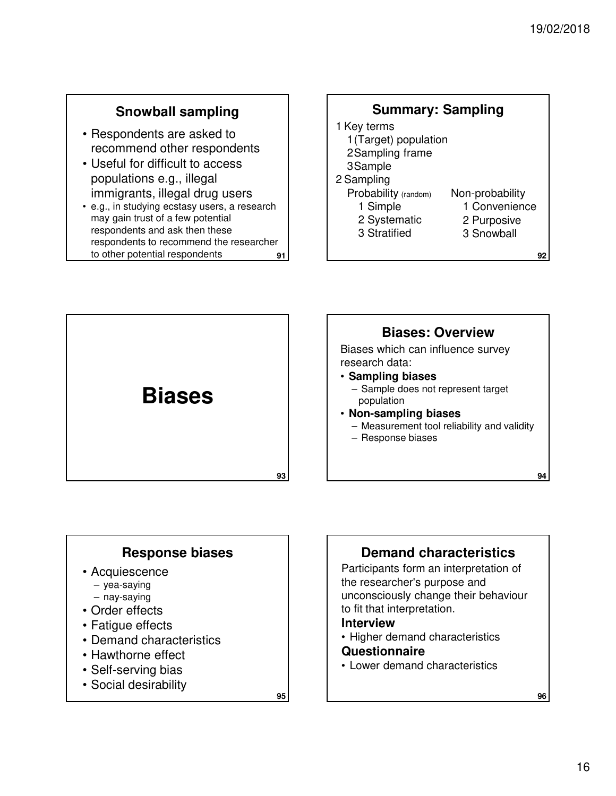## **Snowball sampling**

- Respondents are asked to recommend other respondents
- Useful for difficult to access populations e.g., illegal immigrants, illegal drug users
- **91** • e.g., in studying ecstasy users, a research may gain trust of a few potential respondents and ask then these respondents to recommend the researcher to other potential respondents

#### **92** 1 Key terms 1(Target) population 2Sampling frame 3Sample 2 Sampling Probability (random) 1 Simple 2 Systematic 3 Stratified Non-probability 1 Convenience 2 Purposive 3 Snowball **Summary: Sampling**



### **Response biases**

- Acquiescence
	- yea-saying
- nay-saying
- Order effects
- Fatigue effects
- Demand characteristics
- Hawthorne effect
- Self-serving bias
- Social desirability

**95**